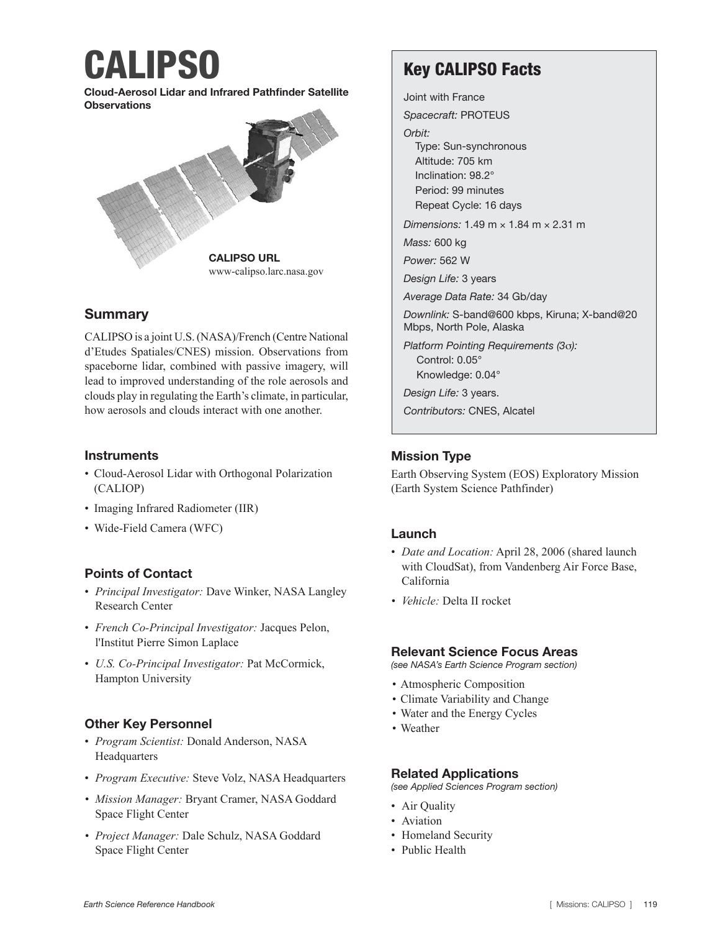# CALIPSO

Cloud-Aerosol Lidar and Infrared Pathfinder Satellite **Observations** 



## **Summary**

CALIPSO is a joint U.S. (NASA)/French (Centre National d'Etudes Spatiales/CNES) mission. Observations from spaceborne lidar, combined with passive imagery, will lead to improved understanding of the role aerosols and clouds play in regulating the Earth's climate, in particular, how aerosols and clouds interact with one another.

#### **Instruments**

- Cloud-Aerosol Lidar with Orthogonal Polarization (CALIOP)
- Imaging Infrared Radiometer (IIR)
- Wide-Field Camera (WFC)

## Points of Contact

- *Principal Investigator:* Dave Winker, NASA Langley Research Center
- *French Co-Principal Investigator:* Jacques Pelon, l'Institut Pierre Simon Laplace
- *U.S. Co-Principal Investigator:* Pat McCormick, Hampton University

### Other Key Personnel

- *Program Scientist:* Donald Anderson, NASA Headquarters
- *Program Executive:* Steve Volz, NASA Headquarters
- *Mission Manager:* Bryant Cramer, NASA Goddard Space Flight Center
- *Project Manager:* Dale Schulz, NASA Goddard Space Flight Center

## Key CALIPSO Facts

Joint with France

*Spacecraft:* PROTEUS

*Orbit:*

Type: Sun-synchronous Altitude: 705 km Inclination: 98.2° Period: 99 minutes Repeat Cycle: 16 days

*Dimensions:* 1.49 m × 1.84 m × 2.31 m

*Mass:* 600 kg

*Power:* 562 W

*Design Life:* 3 years

*Average Data Rate:* 34 Gb/day

*Downlink:* S-band@600 kbps, Kiruna; X-band@20 Mbps, North Pole, Alaska

*Platform Pointing Requirements (3*σ*):* Control: 0.05° Knowledge: 0.04°

*Design Life:* 3 years.

*Contributors:* CNES, Alcatel

### Mission Type

Earth Observing System (EOS) Exploratory Mission (Earth System Science Pathfinder)

### Launch

- *Date and Location:* April 28, 2006 (shared launch with CloudSat), from Vandenberg Air Force Base, California
- *• Vehicle:* Delta II rocket

#### Relevant Science Focus Areas

*(see NASA's Earth Science Program section)*

- Atmospheric Composition
- Climate Variability and Change
- Water and the Energy Cycles
- Weather

#### Related Applications

*(see Applied Sciences Program section)*

- Air Quality
- Aviation
- Homeland Security
- Public Health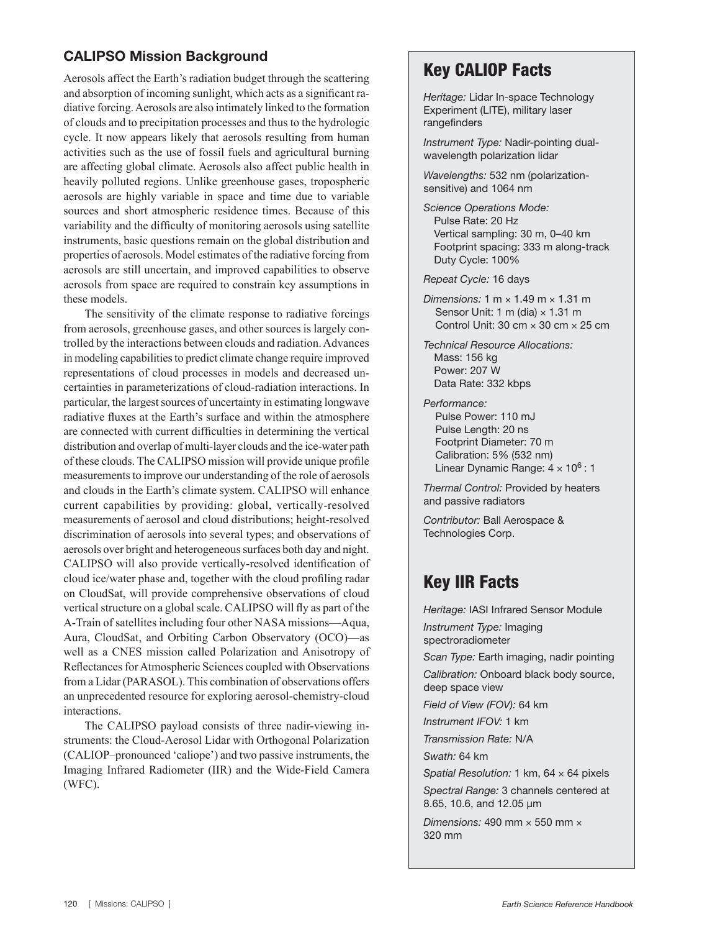## CALIPSO Mission Background

Aerosols affect the Earth's radiation budget through the scattering and absorption of incoming sunlight, which acts as a significant radiative forcing. Aerosols are also intimately linked to the formation of clouds and to precipitation processes and thus to the hydrologic cycle. It now appears likely that aerosols resulting from human activities such as the use of fossil fuels and agricultural burning are affecting global climate. Aerosols also affect public health in heavily polluted regions. Unlike greenhouse gases, tropospheric aerosols are highly variable in space and time due to variable sources and short atmospheric residence times. Because of this variability and the difficulty of monitoring aerosols using satellite instruments, basic questions remain on the global distribution and properties of aerosols. Model estimates of the radiative forcing from aerosols are still uncertain, and improved capabilities to observe aerosols from space are required to constrain key assumptions in these models.

The sensitivity of the climate response to radiative forcings from aerosols, greenhouse gases, and other sources is largely controlled by the interactions between clouds and radiation. Advances in modeling capabilities to predict climate change require improved representations of cloud processes in models and decreased uncertainties in parameterizations of cloud-radiation interactions. In particular, the largest sources of uncertainty in estimating longwave radiative fluxes at the Earth's surface and within the atmosphere are connected with current difficulties in determining the vertical distribution and overlap of multi-layer clouds and the ice-water path of these clouds. The CALIPSO mission will provide unique profile measurements to improve our understanding of the role of aerosols and clouds in the Earth's climate system. CALIPSO will enhance current capabilities by providing: global, vertically-resolved measurements of aerosol and cloud distributions; height-resolved discrimination of aerosols into several types; and observations of aerosols over bright and heterogeneous surfaces both day and night. CALIPSO will also provide vertically-resolved identification of cloud ice/water phase and, together with the cloud profiling radar on CloudSat, will provide comprehensive observations of cloud vertical structure on a global scale. CALIPSO will fly as part of the A-Train of satellites including four other NASA missions—Aqua, Aura, CloudSat, and Orbiting Carbon Observatory (OCO)—as well as a CNES mission called Polarization and Anisotropy of Reflectances for Atmospheric Sciences coupled with Observations from a Lidar (PARASOL). This combination of observations offers an unprecedented resource for exploring aerosol-chemistry-cloud interactions.

The CALIPSO payload consists of three nadir-viewing instruments: the Cloud-Aerosol Lidar with Orthogonal Polarization (CALIOP–pronounced 'caliope') and two passive instruments, the Imaging Infrared Radiometer (IIR) and the Wide-Field Camera (WFC).

## Key CALIOP Facts

*Heritage:* Lidar In-space Technology Experiment (LITE), military laser rangefinders

*Instrument Type:* Nadir-pointing dualwavelength polarization lidar

*Wavelengths:* 532 nm (polarizationsensitive) and 1064 nm

*Science Operations Mode:* Pulse Rate: 20 Hz Vertical sampling: 30 m, 0–40 km Footprint spacing: 333 m along-track Duty Cycle: 100%

*Repeat Cycle:* 16 days

*Dimensions:* 1 m × 1.49 m × 1.31 m Sensor Unit: 1 m (dia)  $\times$  1.31 m Control Unit: 30 cm  $\times$  30 cm  $\times$  25 cm

*Technical Resource Allocations:* Mass: 156 kg Power: 207 W Data Rate: 332 kbps

*Performance:* Pulse Power: 110 mJ Pulse Length: 20 ns Footprint Diameter: 70 m Calibration: 5% (532 nm) Linear Dynamic Range:  $4 \times 10^6$ : 1

*Thermal Control:* Provided by heaters and passive radiators

*Contributor:* Ball Aerospace & Technologies Corp.

## Key IIR Facts

*Heritage:* IASI Infrared Sensor Module *Instrument Type:* Imaging spectroradiometer *Scan Type:* Earth imaging, nadir pointing *Calibration:* Onboard black body source, deep space view *Field of View (FOV):* 64 km *Instrument IFOV:* 1 km *Transmission Rate:* N/A *Swath:* 64 km *Spatial Resolution:* 1 km, 64 × 64 pixels *Spectral Range:* 3 channels centered at 8.65, 10.6, and 12.05 μm *Dimensions:* 490 mm × 550 mm × 320 mm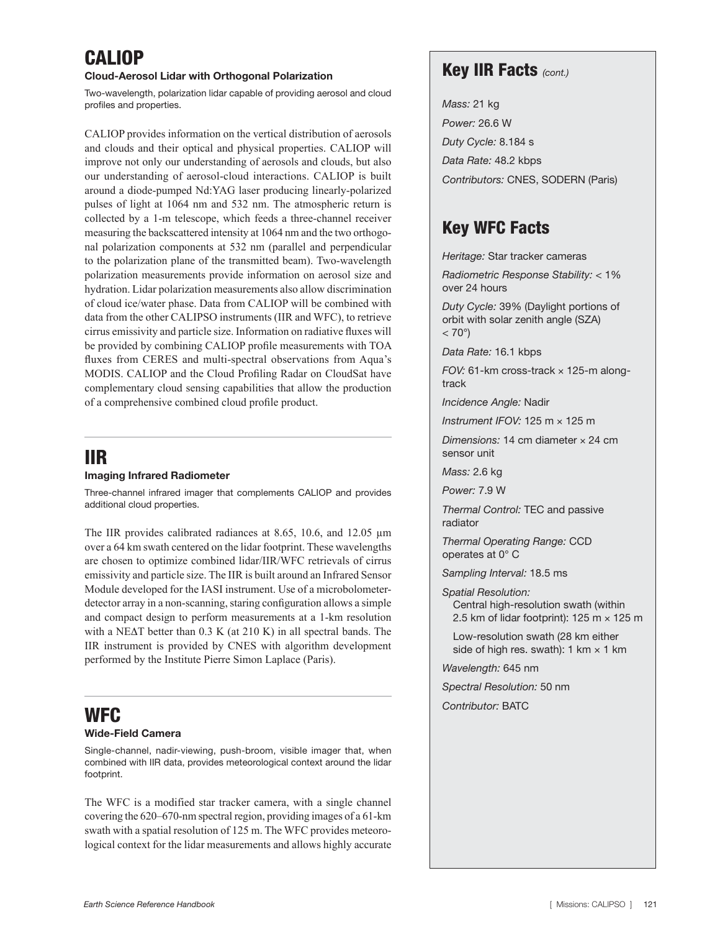## CALIOP

#### Cloud-Aerosol Lidar with Orthogonal Polarization

Two-wavelength, polarization lidar capable of providing aerosol and cloud profiles and properties.

CALIOP provides information on the vertical distribution of aerosols and clouds and their optical and physical properties. CALIOP will improve not only our understanding of aerosols and clouds, but also our understanding of aerosol-cloud interactions. CALIOP is built around a diode-pumped Nd:YAG laser producing linearly-polarized pulses of light at 1064 nm and 532 nm. The atmospheric return is collected by a 1-m telescope, which feeds a three-channel receiver measuring the backscattered intensity at 1064 nm and the two orthogonal polarization components at 532 nm (parallel and perpendicular to the polarization plane of the transmitted beam). Two-wavelength polarization measurements provide information on aerosol size and hydration. Lidar polarization measurements also allow discrimination of cloud ice/water phase. Data from CALIOP will be combined with data from the other CALIPSO instruments (IIR and WFC), to retrieve cirrus emissivity and particle size. Information on radiative fluxes will be provided by combining CALIOP profile measurements with TOA fluxes from CERES and multi-spectral observations from Aqua's MODIS. CALIOP and the Cloud Profiling Radar on CloudSat have complementary cloud sensing capabilities that allow the production of a comprehensive combined cloud profile product.

## IIR

#### Imaging Infrared Radiometer

Three-channel infrared imager that complements CALIOP and provides additional cloud properties.

The IIR provides calibrated radiances at 8.65, 10.6, and 12.05 μm over a 64 km swath centered on the lidar footprint. These wavelengths are chosen to optimize combined lidar/IIR/WFC retrievals of cirrus emissivity and particle size. The IIR is built around an Infrared Sensor Module developed for the IASI instrument. Use of a microbolometerdetector array in a non-scanning, staring configuration allows a simple and compact design to perform measurements at a 1-km resolution with a NE $\Delta$ T better than 0.3 K (at 210 K) in all spectral bands. The IIR instrument is provided by CNES with algorithm development performed by the Institute Pierre Simon Laplace (Paris).

## WFC

#### Wide-Field Camera

Single-channel, nadir-viewing, push-broom, visible imager that, when combined with IIR data, provides meteorological context around the lidar footprint.

The WFC is a modified star tracker camera, with a single channel covering the 620–670-nm spectral region, providing images of a 61-km swath with a spatial resolution of 125 m. The WFC provides meteorological context for the lidar measurements and allows highly accurate

## Key IIR Facts *(cont.)*

*Mass:* 21 kg *Power:* 26.6 W *Duty Cycle:* 8.184 s *Data Rate:* 48.2 kbps *Contributors:* CNES, SODERN (Paris)

## Key WFC Facts

*Heritage:* Star tracker cameras

*Radiometric Response Stability:* < 1% over 24 hours

*Duty Cycle:* 39% (Daylight portions of orbit with solar zenith angle (SZA)  $< 70^{\circ}$ )

*Data Rate:* 16.1 kbps

*FOV:* 61-km cross-track × 125-m alongtrack

*Incidence Angle:* Nadir

*Instrument IFOV:* 125 m × 125 m

*Dimensions:* 14 cm diameter × 24 cm sensor unit

*Mass:* 2.6 kg

*Power:* 7.9 W

*Thermal Control:* TEC and passive radiator

*Thermal Operating Range:* CCD operates at 0° C

*Sampling Interval:* 18.5 ms

*Spatial Resolution:* Central high-resolution swath (within 2.5 km of lidar footprint): 125 m  $\times$  125 m

Low-resolution swath (28 km either side of high res. swath):  $1 \text{ km} \times 1 \text{ km}$ 

*Wavelength:* 645 nm

*Spectral Resolution:* 50 nm

*Contributor:* BATC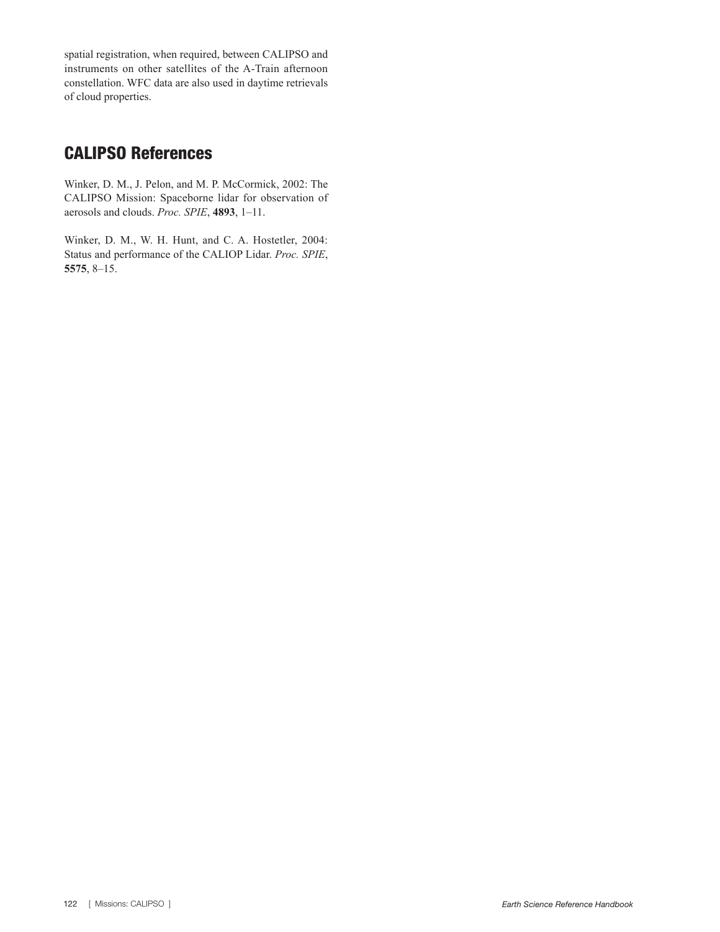spatial registration, when required, between CALIPSO and instruments on other satellites of the A-Train afternoon constellation. WFC data are also used in daytime retrievals of cloud properties.

## CALIPSO References

Winker, D. M., J. Pelon, and M. P. McCormick, 2002: The CALIPSO Mission: Spaceborne lidar for observation of aerosols and clouds. *Proc. SPIE*, **4893**, 1–11.

Winker, D. M., W. H. Hunt, and C. A. Hostetler, 2004: Status and performance of the CALIOP Lidar. *Proc. SPIE*, **5575**, 8–15.